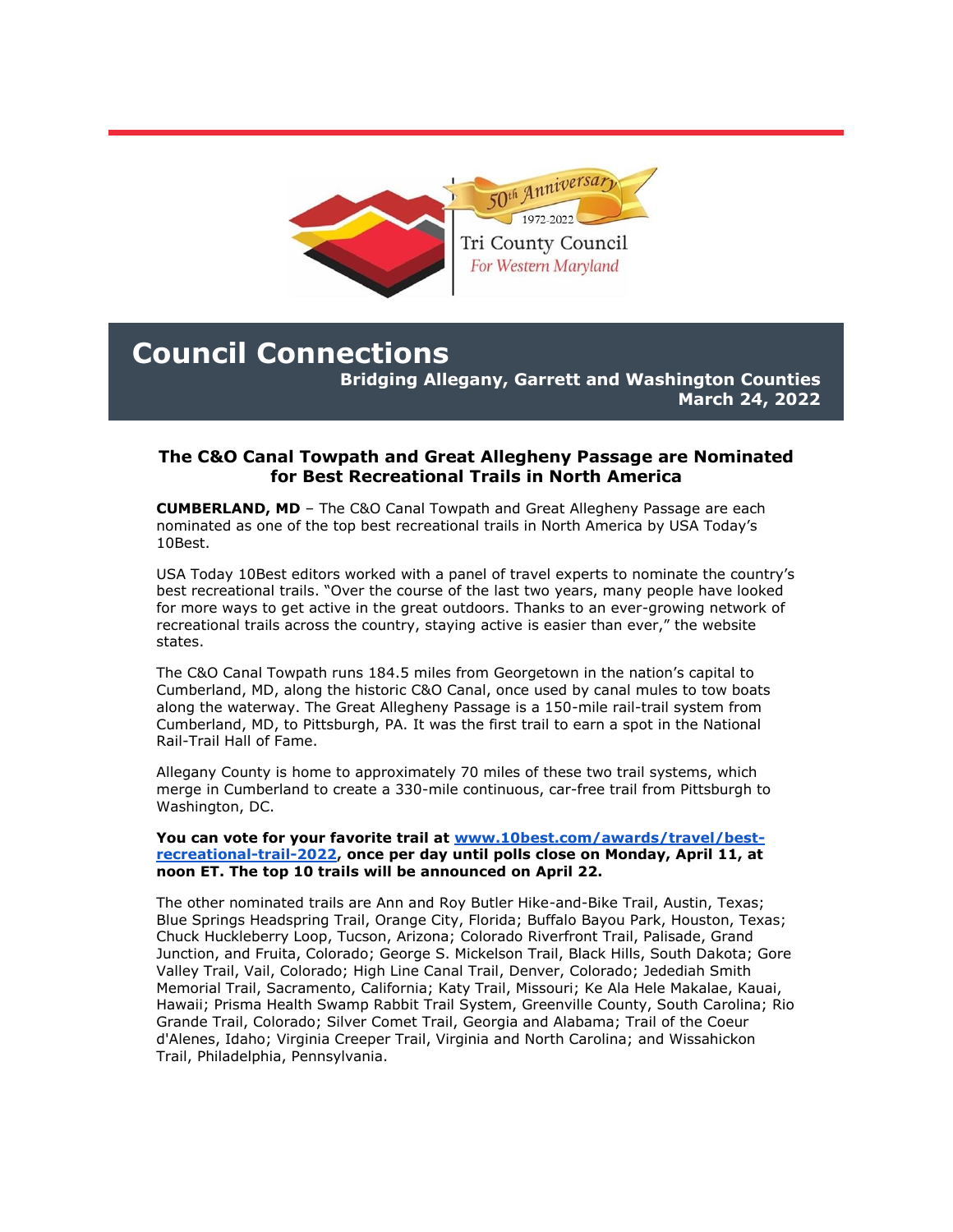

## **Council Connections**

**Bridging Allegany, Garrett and Washington Counties March 24, 2022**

## **The C&O Canal Towpath and Great Allegheny Passage are Nominated for Best Recreational Trails in North America**

**CUMBERLAND, MD** – The C&O Canal Towpath and Great Allegheny Passage are each nominated as one of the top best recreational trails in North America by USA Today's 10Best.

USA Today 10Best editors worked with a panel of travel experts to nominate the country's best recreational trails. "Over the course of the last two years, many people have looked for more ways to get active in the great outdoors. Thanks to an ever-growing network of recreational trails across the country, staying active is easier than ever," the website states.

The C&O Canal Towpath runs 184.5 miles from Georgetown in the nation's capital to Cumberland, MD, along the historic C&O Canal, once used by canal mules to tow boats along the waterway. The Great Allegheny Passage is a 150-mile rail-trail system from Cumberland, MD, to Pittsburgh, PA. It was the first trail to earn a spot in the National Rail-Trail Hall of Fame.

Allegany County is home to approximately 70 miles of these two trail systems, which merge in Cumberland to create a 330-mile continuous, car-free trail from Pittsburgh to Washington, DC.

#### **You can vote for your favorite trail at [www.10best.com/awards/travel/best](https://r20.rs6.net/tn.jsp?f=0015Z0zJgBmRC2Xb3jRzLYWkqGPR14ahyrtQEFB1V6kLDHhq7Y-ycWS7IkY56h58P87cT5j8bv2H4GOK2Xt7xByDG3IfHylustKK9uQjcN2LnBjeRZtbCxKGFcyIT0dLgaaGvoDHr0QxhWd-6-Fem-cAZXXDcVuUjq_-pzVsPAzJD7Wua3v42bIHud0GwM4npxOpABsZlEG1KcSRy-5czwwAA==&c=874uKkzVFboiDp5evLWS4xvouLN9WrBA90klESx4LxW0pQ-SzTu9eQ==&ch=mah3CwwWUgrDBco64vK8JDN05pQY-frndx3tsh463hq1EIoQ8qDWfA==)[recreational-trail-2022,](https://r20.rs6.net/tn.jsp?f=0015Z0zJgBmRC2Xb3jRzLYWkqGPR14ahyrtQEFB1V6kLDHhq7Y-ycWS7IkY56h58P87cT5j8bv2H4GOK2Xt7xByDG3IfHylustKK9uQjcN2LnBjeRZtbCxKGFcyIT0dLgaaGvoDHr0QxhWd-6-Fem-cAZXXDcVuUjq_-pzVsPAzJD7Wua3v42bIHud0GwM4npxOpABsZlEG1KcSRy-5czwwAA==&c=874uKkzVFboiDp5evLWS4xvouLN9WrBA90klESx4LxW0pQ-SzTu9eQ==&ch=mah3CwwWUgrDBco64vK8JDN05pQY-frndx3tsh463hq1EIoQ8qDWfA==) once per day until polls close on Monday, April 11, at noon ET. The top 10 trails will be announced on April 22.**

The other nominated trails are Ann and Roy Butler Hike-and-Bike Trail, Austin, Texas; Blue Springs Headspring Trail, Orange City, Florida; Buffalo Bayou Park, Houston, Texas; Chuck Huckleberry Loop, Tucson, Arizona; Colorado Riverfront Trail, Palisade, Grand Junction, and Fruita, Colorado; George S. Mickelson Trail, Black Hills, South Dakota; Gore Valley Trail, Vail, Colorado; High Line Canal Trail, Denver, Colorado; Jedediah Smith Memorial Trail, Sacramento, California; Katy Trail, Missouri; Ke Ala Hele Makalae, Kauai, Hawaii; Prisma Health Swamp Rabbit Trail System, Greenville County, South Carolina; Rio Grande Trail, Colorado; Silver Comet Trail, Georgia and Alabama; Trail of the Coeur d'Alenes, Idaho; Virginia Creeper Trail, Virginia and North Carolina; and Wissahickon Trail, Philadelphia, Pennsylvania.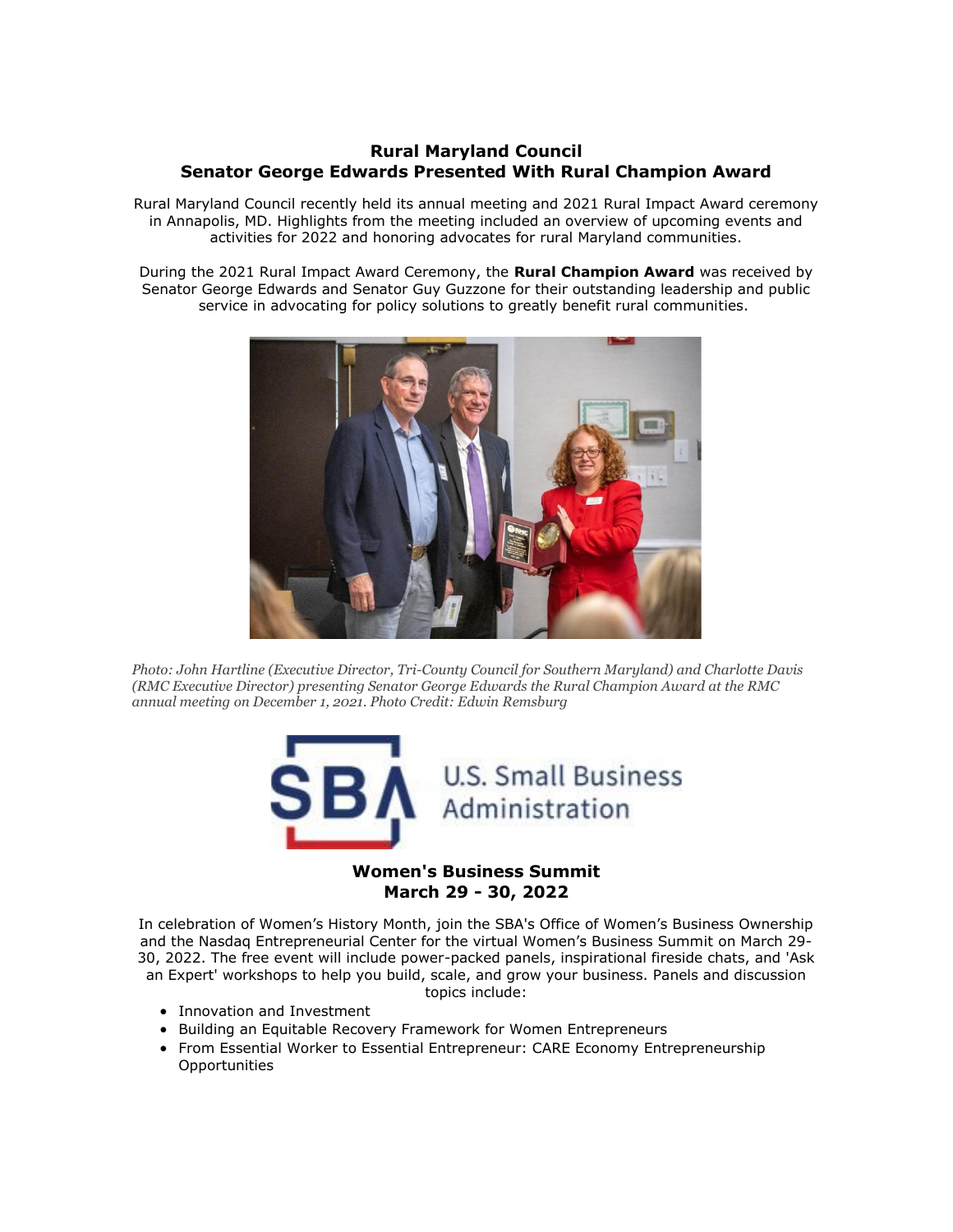### **Rural Maryland Council Senator George Edwards Presented With Rural Champion Award**

Rural Maryland Council recently held its annual meeting and 2021 Rural Impact Award ceremony in Annapolis, MD. Highlights from the meeting included an overview of upcoming events and activities for 2022 and honoring advocates for rural Maryland communities.

During the 2021 Rural Impact Award Ceremony, the **Rural Champion Award** was received by Senator George Edwards and Senator Guy Guzzone for their outstanding leadership and public service in advocating for policy solutions to greatly benefit rural communities.



*Photo: John Hartline (Executive Director, Tri-County Council for Southern Maryland) and Charlotte Davis (RMC Executive Director) presenting Senator George Edwards the Rural Champion Award at the RMC annual meeting on December 1, 2021. Photo Credit: Edwin Remsburg*



# **March 29 - 30, 2022**

In celebration of Women's History Month, join the SBA's Office of Women's Business Ownership and the Nasdaq Entrepreneurial Center for the virtual Women's Business Summit on March 29- 30, 2022. The free event will include power-packed panels, inspirational fireside chats, and 'Ask an Expert' workshops to help you build, scale, and grow your business. Panels and discussion topics include:

- Innovation and Investment
- Building an Equitable Recovery Framework for Women Entrepreneurs
- From Essential Worker to Essential Entrepreneur: CARE Economy Entrepreneurship **Opportunities**